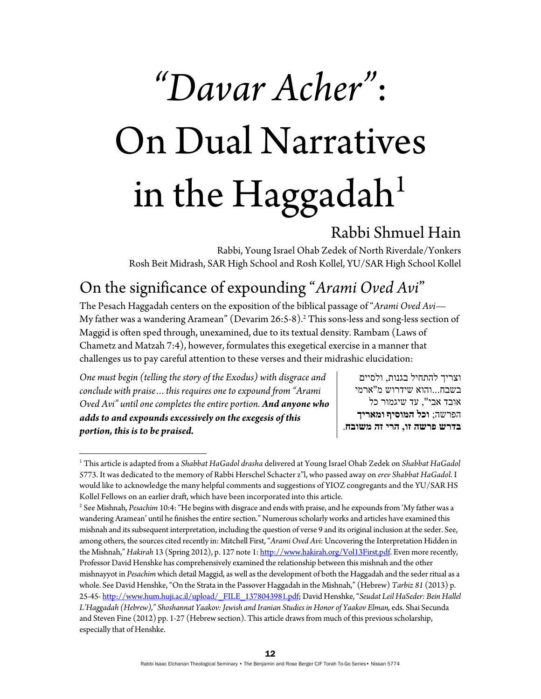# *"Davar Acher"*: On Dual Narratives in the Haggadah $^1$

#### Rabbi Shmuel Hain

Rabbi, Young Israel Ohab Zedek of North Riverdale/Yonkers Rosh Beit Midrash, SAR High School and Rosh Kollel, YU/SAR High School Kollel

## On the significance of expounding "*Arami Oved Avi*"

The Pesach Haggadah centers on the exposition of the biblical passage of "*Arami Oved Avi—*  My father was a wandering Aramean" (Devarim 26:5-8).<sup>2</sup> This sons-less and song-less section of Maggid is often sped through, unexamined, due to its textual density. Rambam (Laws of Chametz and Matzah 7:4), however, formulates this exegetical exercise in a manner that challenges us to pay careful attention to these verses and their midrashic elucidation:

*One must begin (telling the story of the Exodus) with disgrace and conclude with praise…this requires one to expound from "Arami Oved Avi" until one completes the entire portion. And anyone who adds to and expounds excessively on the exegesis of this portion, this is to be praised.* 

וצריך להתחיל בגנות, ולסיים בשבח...והוא שידרוש מ"ארמי אובד אבי", עד שיגמור כל הפרשה; **וכל המוסיף ומאריך בדרש פרשה זו, הרי זה משובח**.

<sup>1</sup> This article is adapted from a *Shabbat HaGadol drasha* delivered at Young Israel Ohab Zedek on *Shabbat HaGadol* 5773. It was dedicated to the memory of Rabbi Herschel Schacter z"l, who passed away on *erev Shabbat HaGadol*. I would like to acknowledge the many helpful comments and suggestions of YIOZ congregants and the YU/SAR HS Kollel Fellows on an earlier draft, which have been incorporated into this article. 2

<sup>&</sup>lt;sup>2</sup> See Mishnah, *Pesachim* 10:4: "He begins with disgrace and ends with praise, and he expounds from 'My father was a wandering Aramean' until he finishes the entire section." Numerous scholarly works and articles have examined this mishnah and its subsequent interpretation, including the question of verse 9 and its original inclusion at the seder. See, among others, the sources cited recently in: Mitchell First, "*Arami Oved Avi*: Uncovering the Interpretation Hidden in the Mishnah," *Hakirah* 13 (Spring 2012), p. 127 note 1: http://www.hakirah.org/Vol13First.pdf. Even more recently, Professor David Henshke has comprehensively examined the relationship between this mishnah and the other mishnayyot in *Pesachim* which detail Maggid, as well as the development of both the Haggadah and the seder ritual as a whole. See David Henshke, "On the Strata in the Passover Haggadah in the Mishnah," (Hebrew) *Tarbiz 81* (2013) p. 25-45- http://www.hum.huji.ac.il/upload/\_FILE\_1378043981.pdf; David Henshke, "*Seudat Leil HaSeder: Bein Hallel L'Haggadah (Hebrew)," Shoshannat Yaakov: Jewish and Iranian Studies in Honor of Yaakov Elman,* eds. Shai Secunda and Steven Fine (2012) pp. 1-27 (Hebrew section). This article draws from much of this previous scholarship, especially that of Henshke.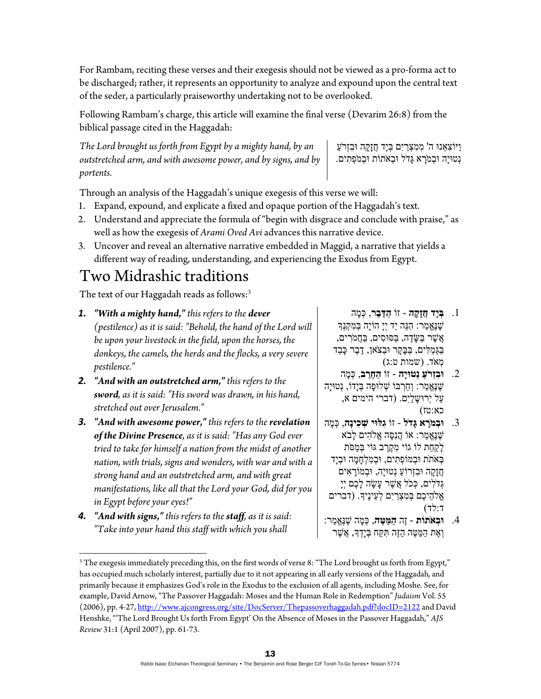For Rambam, reciting these verses and their exegesis should not be viewed as a pro-forma act to be discharged; rather, it represents an opportunity to analyze and expound upon the central text of the seder, a particularly praiseworthy undertaking not to be overlooked.

Following Rambam's charge, this article will examine the final verse (Devarim 26:8) from the biblical passage cited in the Haggadah:

*The Lord brought us forth from Egypt by a mighty hand, by an outstretched arm, and with awesome power, and by signs, and by portents.* 

ַו ִ יּוֹצ ֵאנוּ ה' ִמ ִמ ְצַריִם ְבּיָד ֲחזָ ָקה ִוּבזְרַֹע ָנְטוּיָה וּבְמֹרָא גַּדֹל וּבְאֹתוֹת וּבְמֹפְתִים.

Through an analysis of the Haggadah's unique exegesis of this verse we will:

- 1. Expand, expound, and explicate a fixed and opaque portion of the Haggadah's text.
- 2. Understand and appreciate the formula of "begin with disgrace and conclude with praise," as well as how the exegesis of *Arami Oved Avi* advances this narrative device.
- 3. Uncover and reveal an alternative narrative embedded in Maggid, a narrative that yields a different way of reading, understanding, and experiencing the Exodus from Egypt.

## Two Midrashic traditions

The text of our Haggadah reads as follows:<sup>3</sup>

- *1. "With a mighty hand," this refers to the dever (pestilence) as it is said: "Behold, the hand of the Lord will be upon your livestock in the field, upon the horses, the donkeys, the camels, the herds and the flocks, a very severe pestilence."*
- *2. "And with an outstretched arm," this refers to the sword, as it is said: "His sword was drawn, in his hand, stretched out over Jerusalem."*
- *3. "And with awesome power," this refers to the revelation of the Divine Presence, as it is said: "Has any God ever tried to take for himself a nation from the midst of another nation, with trials, signs and wonders, with war and with a strong hand and an outstretched arm, and with great manifestations, like all that the Lord your God, did for you in Egypt before your eyes!"*
- *4. "And with signs," this refers to the staff, as it is said: "Take into your hand this staff with which you shall*

- .1 **ְבּיָד ֲחזָ ָקה** זוֹ **ַה ֶדּ ֶבר**, ְכּ ָמה ֶשׁנֱֶּא ַמר: ִהנֵּה יַד יְיָ הוֹיָה ְבּ ִמ ְקנְָך  $\ddot{y}$ ָשֶׁר בַּשֶּׂדֶה, בַּסוּסִים, בַּחֲמֹרִים, ַבַּגִּמַלִּים, בַּבַּקַר וּבַצֹּאן, דֵבֵר כַּבֵד ְמאֹד. (שמות ט:ג)
- .2 **ִוּבזְרַֹע נְטוּיָה** זוֹ **ַה ֶחֶרב**, ְכּ ָמה ֶשׁנֱֶּא ַמר: ְו ַח ְרבּוֹ ְשׁ ָ לוּפה ְבּיָדוֹ, נְטוּיָה ַעל יְ ָ רוּש ַליִם. (דברי הימים א, כא:טז)
- .3 **ְוּבמָֹרא ָגּדֹל** זוֹ **ִגלּוּי ְשׁ ִכינָה**, ְכּ ָמה ֶשׁנֱֶּא ַמר: אוֹ ֲהנִ ָסּה ֱא ִֹלהים ָלבֹא ַלַקְחַת לוֹ גוֹי מְקֵרֶב גּוֹי בְּמַסֹּת ַ בְּאֹתֹת וּבְמוֹפְתִים, וּבְמִלְחָמָה וּבְיָד ֲחזָ ָקה ִוּבזְ ַ רוֹע נְטוּיָה, ְוּב ָמוֹר ִאים ְגּדֹ ִלים, ְכּכֹל ֲא ֶשׁר ָע ָשׂה ָל ֶכם יְיָ ְאֱלֹהֵיכֶם בְּמִצְרַיִם לְעֵינֵיךָ. (דברים ד:לד)
- .4 **ְוּבאֹתוֹת** זֶה **ַה ַמּ ֶטּה**, ְכּ ָמה ֶשׁנֱֶּא ַמר: וְאֵת הַמַּטֵּה הַזֶּה תִּקַּח בְּיַדְךָ, אֲשֶׁר

 $^3$  The exegesis immediately preceding this, on the first words of verse 8: "The Lord brought us forth from Egypt," has occupied much scholarly interest, partially due to it not appearing in all early versions of the Haggadah*,* and primarily because it emphasizes God's role in the Exodus to the exclusion of all agents, including Moshe. See, for example, David Arnow, "The Passover Haggadah: Moses and the Human Role in Redemption" *Judaism* Vol. 55 (2006), pp. 4-27, http://www.ajcongress.org/site/DocServer/Thepassoverhaggadah.pdf?docID=2122 and David Henshke, "'The Lord Brought Us forth From Egypt' On the Absence of Moses in the Passover Haggadah," *AJS Review* 31:1 (April 2007), pp. 61-73.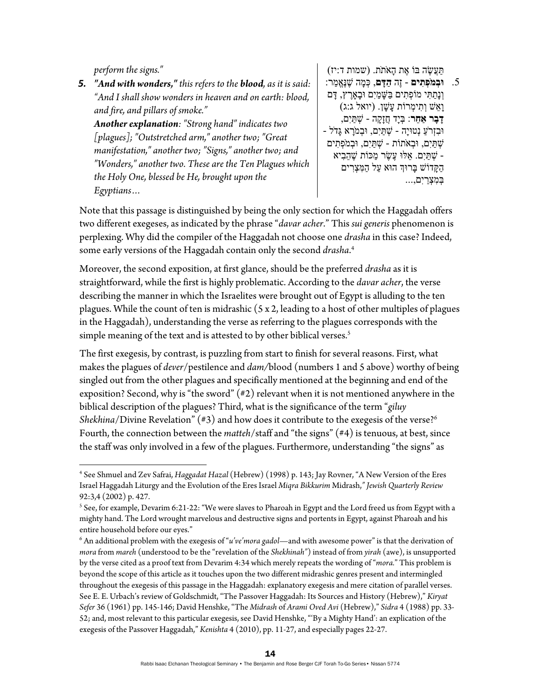*perform the signs."* 

*5. "And with wonders," this refers to the blood, as it is said: "And I shall show wonders in heaven and on earth: blood, and fire, and pillars of smoke."* 

*Another explanation: "Strong hand" indicates two [plagues]; "Outstretched arm," another two; "Great manifestation," another two; "Signs," another two; and "Wonders," another two. These are the Ten Plagues which the Holy One, blessed be He, brought upon the Egyptians…* 

ַתֲּע ֶשׂה בּוֹ ֶאת ָהאֹתֹת. (שמות ד:יז) .5 **ְוּבמֹ ְפ ִתים** - זֶה **ַה ָדּם**, ְכּ ָמה ֶשׁנֱֶּא ַמר: ְונָ ַת ִתּי ְ מוֹפ ִתים ַבּ ָשּׁ ַמיִם ָוּב ֶאָרץ, ָדּם ָו ֵאשׁ ְו ִת ְימרוֹת ָע ָשׁן. (יואל ג:ג) **ָד ָבר ֵאַחר**: ְבּיָד ֲחזָ ָקה - ְשׁ ַתּיִם, וּבִזְרֹעַ נְטוּיָה - שְׁתַּיִם, וּבִמֹרָא גַּדֹל -ְשׁ ַתּיִם, ְוּבאֹתוֹת - ְשׁ ַתּיִם, ְוּבמֹ ְפ ִתים - ְשׁ ַתּיִם. ֵאלּוּ ֶע ֶשׂר ַמכּוֹת ֶשׁ ֵה ִביא ַה ָקּדוֹשׁ ָבּרוְּך הוּא ַעל ַה ִמּ ְצ ִרים ְבּ ִמ ְצַריִם...,

Note that this passage is distinguished by being the only section for which the Haggadah offers two different exegeses, as indicated by the phrase "*davar acher*." This *sui generis* phenomenon is perplexing. Why did the compiler of the Haggadah not choose one *drasha* in this case? Indeed, some early versions of the Haggadah contain only the second *drasha*. 4

Moreover, the second exposition, at first glance, should be the preferred *drasha* as it is straightforward, while the first is highly problematic. According to the *davar acher*, the verse describing the manner in which the Israelites were brought out of Egypt is alluding to the ten plagues. While the count of ten is midrashic (5 x 2, leading to a host of other multiples of plagues in the Haggadah), understanding the verse as referring to the plagues corresponds with the simple meaning of the text and is attested to by other biblical verses.<sup>5</sup>

The first exegesis, by contrast, is puzzling from start to finish for several reasons. First, what makes the plagues of *dever*/pestilence and *dam/*blood (numbers 1 and 5 above) worthy of being singled out from the other plagues and specifically mentioned at the beginning and end of the exposition? Second, why is "the sword" (#2) relevant when it is not mentioned anywhere in the biblical description of the plagues? Third, what is the significance of the term "*giluy Shekhina*/Divine Revelation" (#3) and how does it contribute to the exegesis of the verse?<sup>6</sup> Fourth, the connection between the *matteh*/staff and "the signs" (#4) is tenuous, at best, since the staff was only involved in a few of the plagues. Furthermore, understanding "the signs" as

<sup>4</sup> See Shmuel and Zev Safrai, *Haggadat Hazal* (Hebrew) (1998) p. 143; Jay Rovner, "A New Version of the Eres Israel Haggadah Liturgy and the Evolution of the Eres Israel *Miqra Bikkurim* Midrash,*" Jewish Quarterly Review*  92:3,4 (2002) p. 427.

 $^5$  See, for example, Devarim 6:21-22: "We were slaves to Pharoah in Egypt and the Lord freed us from Egypt with a mighty hand. The Lord wrought marvelous and destructive signs and portents in Egypt, against Pharoah and his entire household before our eyes."

<sup>6</sup> An additional problem with the exegesis of "*u've'mora gadol*—and with awesome power" is that the derivation of *mora* from *mareh* (understood to be the "revelation of the *Shekhinah"*) instead of from *yirah* (awe), is unsupported by the verse cited as a proof text from Devarim 4:34 which merely repeats the wording of "*mora.*" This problem is beyond the scope of this article as it touches upon the two different midrashic genres present and intermingled throughout the exegesis of this passage in the Haggadah: explanatory exegesis and mere citation of parallel verses. See E. E. Urbach's review of Goldschmidt, "The Passover Haggadah: Its Sources and History (Hebrew)," *Kiryat Sefer* 36 (1961) pp. 145-146; David Henshke, "The *Midrash* of *Arami Oved Avi* (Hebrew)," *Sidra* 4 (1988) pp. 33- 52; and, most relevant to this particular exegesis, see David Henshke, "'By a Mighty Hand': an explication of the exegesis of the Passover Haggadah," *Kenishta* 4 (2010), pp. 11-27, and especially pages 22-27.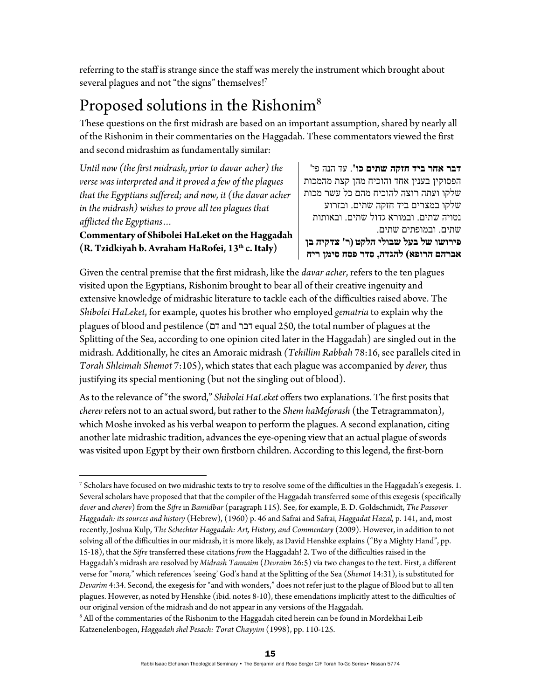referring to the staff is strange since the staff was merely the instrument which brought about several plagues and not "the signs" themselves!<sup>7</sup>

#### Proposed solutions in the Rishonim<sup>8</sup>

These questions on the first midrash are based on an important assumption, shared by nearly all of the Rishonim in their commentaries on the Haggadah. These commentators viewed the first and second midrashim as fundamentally similar:

*Until now (the first midrash, prior to davar acher) the verse was interpreted and it proved a few of the plagues that the Egyptians suffered; and now, it (the davar acher in the midrash) wishes to prove all ten plagues that afflicted the Egyptians…*

**Commentary of Shibolei HaLeket on the Haggadah (R. Tzidkiyah b. Avraham HaRofei, 13th c. Italy)** 

**דבר אחר ביד חזקה שתים כו'**. עד הנה פי' הפסוקין בענין אחד והוכיח מהן קצת מהמכות שלקו ועתה רוצה להוכיח מהם כל עשר מכות שלקו במצרים ביד חזקה שתים. ובזרוע נטויה שתים. ובמורא גדול שתים. ובאותות שתים. ובמופתים שתים. **פירושו של בעל שבולי הלקט (ר' צדקיה בן אברהם הרופא) להגדה, סדר פסח סימן ריח**

Given the central premise that the first midrash, like the *davar acher*, refers to the ten plagues visited upon the Egyptians, Rishonim brought to bear all of their creative ingenuity and extensive knowledge of midrashic literature to tackle each of the difficulties raised above. The *Shibolei HaLeket*, for example, quotes his brother who employed *gematria* to explain why the plagues of blood and pestilence (דם and דבר equal 250, the total number of plagues at the Splitting of the Sea, according to one opinion cited later in the Haggadah) are singled out in the midrash. Additionally, he cites an Amoraic midrash *(Tehillim Rabbah* 78:16, see parallels cited in *Torah Shleimah Shemot* 7:105), which states that each plague was accompanied by *dever,* thus justifying its special mentioning (but not the singling out of blood).

As to the relevance of "the sword," *Shibolei HaLeket* offers two explanations. The first posits that *cherev* refers not to an actual sword, but rather to the *Shem haMeforash* (the Tetragrammaton), which Moshe invoked as his verbal weapon to perform the plagues. A second explanation, citing another late midrashic tradition, advances the eye-opening view that an actual plague of swords was visited upon Egypt by their own firstborn children. According to this legend, the first-born

 7 Scholars have focused on two midrashic texts to try to resolve some of the difficulties in the Haggadah's exegesis. 1. Several scholars have proposed that that the compiler of the Haggadah transferred some of this exegesis (specifically *dever* and *cherev*) from the *Sifre* in *Bamidbar* (paragraph 115). See, for example, E. D. Goldschmidt, *The Passover Haggadah: its sources and history* (Hebrew), (1960) p. 46 and Safrai and Safrai, *Haggadat Hazal,* p. 141, and, most recently, Joshua Kulp, *The Schechter Haggadah: Art, History, and Commentary* (2009). However, in addition to not solving all of the difficulties in our midrash, it is more likely, as David Henshke explains ("By a Mighty Hand", pp. 15-18), that the *Sifre* transferred these citations *from* the Haggadah! 2. Two of the difficulties raised in the Haggadah's midrash are resolved by *Midrash Tannaim* (*Devraim* 26:5) via two changes to the text. First, a different verse for "*mora,*" which references 'seeing' God's hand at the Splitting of the Sea (*Shemot* 14:31), is substituted for *Devarim* 4:34. Second, the exegesis for "and with wonders," does not refer just to the plague of Blood but to all ten plagues. However, as noted by Henshke (ibid. notes 8-10), these emendations implicitly attest to the difficulties of our original version of the midrash and do not appear in any versions of the Haggadah. 8

 $8$  All of the commentaries of the Rishonim to the Haggadah cited herein can be found in Mordekhai Leib Katzenelenbogen, *Haggadah shel Pesach: Torat Chayyim* (1998), pp. 110-125.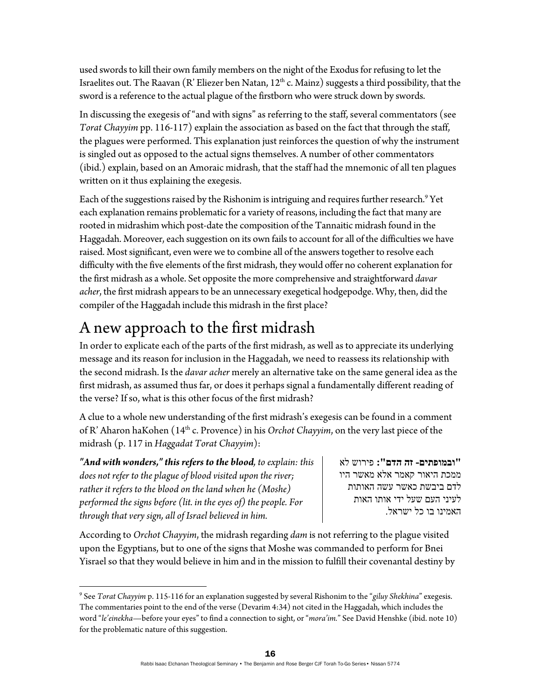used swords to kill their own family members on the night of the Exodus for refusing to let the Israelites out. The Raavan (R' Eliezer ben Natan,  $12<sup>th</sup>$  c. Mainz) suggests a third possibility, that the sword is a reference to the actual plague of the firstborn who were struck down by swords.

In discussing the exegesis of "and with signs" as referring to the staff, several commentators (see *Torat Chayyim* pp. 116-117) explain the association as based on the fact that through the staff, the plagues were performed. This explanation just reinforces the question of why the instrument is singled out as opposed to the actual signs themselves. A number of other commentators (ibid.) explain, based on an Amoraic midrash, that the staff had the mnemonic of all ten plagues written on it thus explaining the exegesis.

Each of the suggestions raised by the Rishonim is intriguing and requires further research.<sup>9</sup> Yet each explanation remains problematic for a variety of reasons, including the fact that many are rooted in midrashim which post-date the composition of the Tannaitic midrash found in the Haggadah. Moreover, each suggestion on its own fails to account for all of the difficulties we have raised. Most significant, even were we to combine all of the answers together to resolve each difficulty with the five elements of the first midrash, they would offer no coherent explanation for the first midrash as a whole. Set opposite the more comprehensive and straightforward *davar acher*, the first midrash appears to be an unnecessary exegetical hodgepodge. Why, then, did the compiler of the Haggadah include this midrash in the first place?

### A new approach to the first midrash

In order to explicate each of the parts of the first midrash, as well as to appreciate its underlying message and its reason for inclusion in the Haggadah, we need to reassess its relationship with the second midrash. Is the *davar acher* merely an alternative take on the same general idea as the first midrash, as assumed thus far, or does it perhaps signal a fundamentally different reading of the verse? If so, what is this other focus of the first midrash?

A clue to a whole new understanding of the first midrash's exegesis can be found in a comment of R' Aharon haKohen (14th c. Provence) in his *Orchot Chayyim*, on the very last piece of the midrash (p. 117 in *Haggadat Torat Chayyim*):

*"And with wonders," this refers to the blood, to explain: this does not refer to the plague of blood visited upon the river; rather it refers to the blood on the land when he (Moshe) performed the signs before (lit. in the eyes of) the people. For through that very sign, all of Israel believed in him.* 

**"ובמופתים- זה הדם":** פירוש לא ממכת היאור קאמר אלא מאשר היו לדם ביבשת כאשר עשה האותות לעיני העם שעל ידי אותו האות האמינו בו כל ישראל.

According to *Orchot Chayyim*, the midrash regarding *dam* is not referring to the plague visited upon the Egyptians, but to one of the signs that Moshe was commanded to perform for Bnei Yisrael so that they would believe in him and in the mission to fulfill their covenantal destiny by

<sup>9</sup> See *Torat Chayyim* p. 115-116 for an explanation suggested by several Rishonim to the "*giluy Shekhina*" exegesis. The commentaries point to the end of the verse (Devarim 4:34) not cited in the Haggadah, which includes the word "*le'einekha*—before your eyes" to find a connection to sight, or "*mora'im.*" See David Henshke (ibid. note 10) for the problematic nature of this suggestion.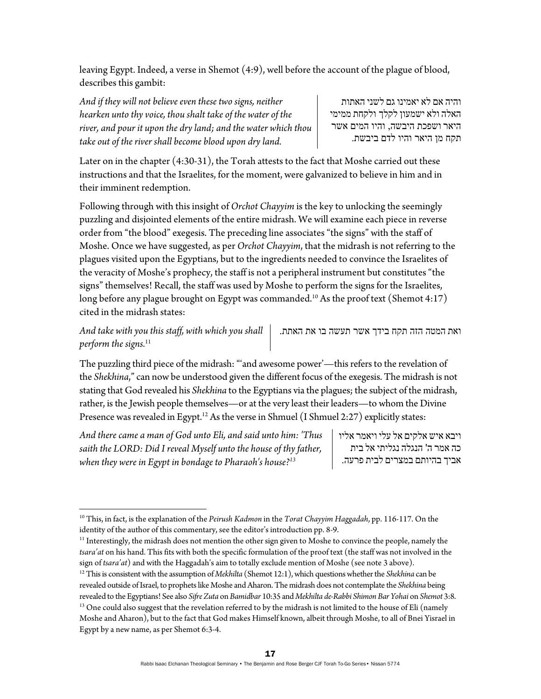leaving Egypt. Indeed, a verse in Shemot (4:9), well before the account of the plague of blood, describes this gambit:

*And if they will not believe even these two signs, neither hearken unto thy voice, thou shalt take of the water of the river, and pour it upon the dry land; and the water which thou take out of the river shall become blood upon dry land.* 

והיה אם לא יאמינו גם לשני האתות האלה ולא ישמעון לקלך ולקחת ממימי היאר ושפכת היבשה, והיו המים אשר תקח מן היאר והיו לדם ביבשת.

Later on in the chapter (4:30-31), the Torah attests to the fact that Moshe carried out these instructions and that the Israelites, for the moment, were galvanized to believe in him and in their imminent redemption.

Following through with this insight of *Orchot Chayyim* is the key to unlocking the seemingly puzzling and disjointed elements of the entire midrash. We will examine each piece in reverse order from "the blood" exegesis. The preceding line associates "the signs" with the staff of Moshe. Once we have suggested, as per *Orchot Chayyim*, that the midrash is not referring to the plagues visited upon the Egyptians, but to the ingredients needed to convince the Israelites of the veracity of Moshe's prophecy, the staff is not a peripheral instrument but constitutes "the signs" themselves! Recall, the staff was used by Moshe to perform the signs for the Israelites, long before any plague brought on Egypt was commanded.<sup>10</sup> As the proof text (Shemot 4:17) cited in the midrash states:

*And take with you this staff, with which you shall perform the signs.*<sup>11</sup>

ואת המטה הזה תקח בידך אשר תעשה בו את האתת.

The puzzling third piece of the midrash: "'and awesome power'—this refers to the revelation of the *Shekhina*," can now be understood given the different focus of the exegesis. The midrash is not stating that God revealed his *Shekhina* to the Egyptians via the plagues; the subject of the midrash, rather, is the Jewish people themselves—or at the very least their leaders—to whom the Divine Presence was revealed in Egypt.<sup>12</sup> As the verse in Shmuel (I Shmuel 2:27) explicitly states:

*And there came a man of God unto Eli, and said unto him: 'Thus saith the LORD: Did I reveal Myself unto the house of thy father, when they were in Egypt in bondage to Pharaoh's house?13*

ויבא איש אלקים אל עלי ויאמר אליו כה אמר ה' הנגלה נגליתי אל בית אביך בהיותם במצרים לבית פרעה.

<sup>11</sup> Interestingly, the midrash does not mention the other sign given to Moshe to convince the people, namely the *tsara'at* on his hand. This fits with both the specific formulation of the proof text (the staff was not involved in the sign of tsara'at) and with the Haggadah's aim to totally exclude mention of Moshe (see note 3 above).<br><sup>12</sup> This is consistent with the assumption of *Mekhilta* (Shemot 12:1), which questions whether the *Shekhina* can be

<sup>10</sup> This, in fact, is the explanation of the *Peirush Kadmon* in the *Torat Chayyim Haggadah*, pp. 116-117. On the identity of the author of this commentary, see the editor's introduction pp. 8-9.

revealed outside of Israel, to prophets like Moshe and Aharon. The midrash does not contemplate the *Shekhina* being revealed to the Egyptians! See also Sifre Zuta on Bamidbar 10:35 and Mekhilta de-Rabbi Shimon Bar Yohai on Shemot 3:8.<br><sup>13</sup> One could also suggest that the revelation referred to by the midrash is not limited to the house Moshe and Aharon), but to the fact that God makes Himself known, albeit through Moshe, to all of Bnei Yisrael in Egypt by a new name, as per Shemot 6:3-4.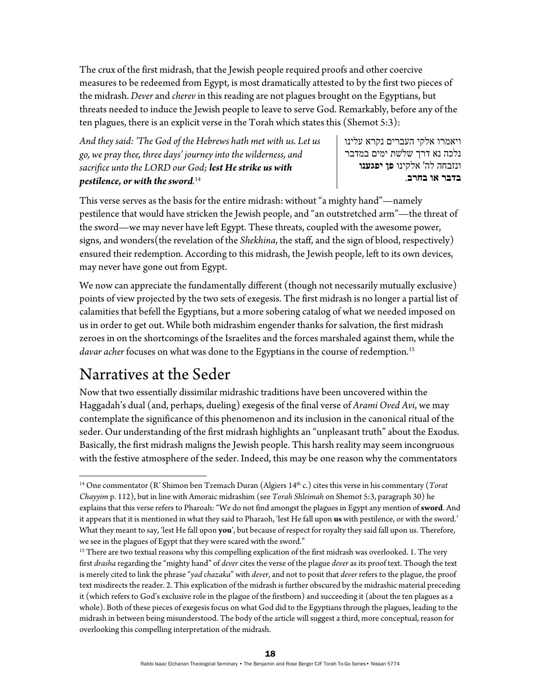The crux of the first midrash, that the Jewish people required proofs and other coercive measures to be redeemed from Egypt, is most dramatically attested to by the first two pieces of the midrash. *Dever* and *cherev* in this reading are not plagues brought on the Egyptians, but threats needed to induce the Jewish people to leave to serve God. Remarkably, before any of the ten plagues, there is an explicit verse in the Torah which states this (Shemot 5:3):

*And they said: 'The God of the Hebrews hath met with us. Let us go, we pray thee, three days' journey into the wilderness, and sacrifice unto the LORD our God; lest He strike us with pestilence, or with the sword.* 14

ויאמרו אלקי העברים נקרא עלינו נלכה נא דרך שֹלשת ימים במדבר ונזבחה לה' אלקינו **פן יפגענו בדבר או בחרב**.

This verse serves as the basis for the entire midrash: without "a mighty hand"—namely pestilence that would have stricken the Jewish people, and "an outstretched arm"—the threat of the sword—we may never have left Egypt. These threats, coupled with the awesome power, signs, and wonders(the revelation of the *Shekhina*, the staff, and the sign of blood, respectively) ensured their redemption. According to this midrash, the Jewish people, left to its own devices, may never have gone out from Egypt.

We now can appreciate the fundamentally different (though not necessarily mutually exclusive) points of view projected by the two sets of exegesis. The first midrash is no longer a partial list of calamities that befell the Egyptians, but a more sobering catalog of what we needed imposed on us in order to get out. While both midrashim engender thanks for salvation, the first midrash zeroes in on the shortcomings of the Israelites and the forces marshaled against them, while the *davar acher* focuses on what was done to the Egyptians in the course of redemption.<sup>15</sup>

#### Narratives at the Seder

Now that two essentially dissimilar midrashic traditions have been uncovered within the Haggadah's dual (and, perhaps, dueling) exegesis of the final verse of *Arami Oved Avi*, we may contemplate the significance of this phenomenon and its inclusion in the canonical ritual of the seder. Our understanding of the first midrash highlights an "unpleasant truth" about the Exodus. Basically, the first midrash maligns the Jewish people. This harsh reality may seem incongruous with the festive atmosphere of the seder. Indeed, this may be one reason why the commentators

 14 One commentator (R' Shimon ben Tzemach Duran (Algiers 14th c.) cites this verse in his commentary (*Torat Chayyim* p. 112), but in line with Amoraic midrashim (see *Torah Shleimah* on Shemot 5:3, paragraph 30) he explains that this verse refers to Pharoah: "We do not find amongst the plagues in Egypt any mention of **sword**. And it appears that it is mentioned in what they said to Pharaoh, 'lest He fall upon **us** with pestilence, or with the sword.' What they meant to say, 'lest He fall upon **you**', but because of respect for royalty they said fall upon us. Therefore, we see in the plagues of Egypt that they were scared with the sword."

<sup>&</sup>lt;sup>15</sup> There are two textual reasons why this compelling explication of the first midrash was overlooked. 1. The very first *drasha* regarding the "mighty hand" of *dever* cites the verse of the plague *dever* as its proof text. Though the text is merely cited to link the phrase "*yad chazaka*" with *dever*, and not to posit that *dever* refers to the plague, the proof text misdirects the reader. 2. This explication of the midrash is further obscured by the midrashic material preceding it (which refers to God's exclusive role in the plague of the firstborn) and succeeding it (about the ten plagues as a whole). Both of these pieces of exegesis focus on what God did to the Egyptians through the plagues, leading to the midrash in between being misunderstood. The body of the article will suggest a third, more conceptual, reason for overlooking this compelling interpretation of the midrash.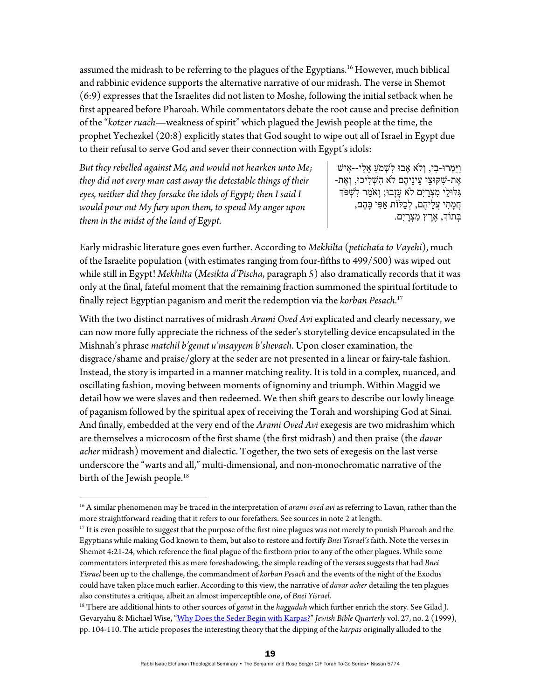assumed the midrash to be referring to the plagues of the Egyptians.<sup>16</sup> However, much biblical and rabbinic evidence supports the alternative narrative of our midrash. The verse in Shemot (6:9) expresses that the Israelites did not listen to Moshe, following the initial setback when he first appeared before Pharoah. While commentators debate the root cause and precise definition of the "*kotzer ruach*—weakness of spirit" which plagued the Jewish people at the time, the prophet Yechezkel (20:8) explicitly states that God sought to wipe out all of Israel in Egypt due to their refusal to serve God and sever their connection with Egypt's idols:

*But they rebelled against Me, and would not hearken unto Me; they did not every man cast away the detestable things of their eyes, neither did they forsake the idols of Egypt; then I said I would pour out My fury upon them, to spend My anger upon them in the midst of the land of Egypt.* 

ַויַּ ְמרוּ- ִבי, ְוֹלא אָבוּ ִל ְשׁמַֹע ֵא ַלי-- ִאישׁ ָאֶת-שׁקּוּצי עיניהֶם לֹא הֹשָׁליכוּ, וְאֶת-ִגּ ֵ לּוּלי ִמ ְצַריִם ֹלא ָעזָבוּ; ָואַֹמר ִל ְשׁפְֹּך ְחֲמַתִי עֲלֵיהֶם, לְכַלּוֹת אַפִּי בָּהֶם, ְבּתוְֹך, ֶאֶרץ ִמ ְצָריִם.

Early midrashic literature goes even further. According to *Mekhilta* (*petichata to Vayehi*), much of the Israelite population (with estimates ranging from four-fifths to 499/500) was wiped out while still in Egypt! *Mekhilta* (*Mesikta d'Pischa*, paragraph 5) also dramatically records that it was only at the final, fateful moment that the remaining fraction summoned the spiritual fortitude to finally reject Egyptian paganism and merit the redemption via the *korban Pesach*. 17

With the two distinct narratives of midrash *Arami Oved Avi* explicated and clearly necessary, we can now more fully appreciate the richness of the seder's storytelling device encapsulated in the Mishnah's phrase *matchil b'genut u'msayyem b'shevach*. Upon closer examination, the disgrace/shame and praise/glory at the seder are not presented in a linear or fairy-tale fashion. Instead, the story is imparted in a manner matching reality. It is told in a complex, nuanced, and oscillating fashion, moving between moments of ignominy and triumph. Within Maggid we detail how we were slaves and then redeemed. We then shift gears to describe our lowly lineage of paganism followed by the spiritual apex of receiving the Torah and worshiping God at Sinai. And finally, embedded at the very end of the *Arami Oved Avi* exegesis are two midrashim which are themselves a microcosm of the first shame (the first midrash) and then praise (the *davar acher* midrash) movement and dialectic. Together, the two sets of exegesis on the last verse underscore the "warts and all," multi-dimensional, and non-monochromatic narrative of the birth of the Jewish people.<sup>18</sup>

<sup>&</sup>lt;sup>16</sup> A similar phenomenon may be traced in the interpretation of *arami oved avi* as referring to Lavan, rather than the more straightforward reading that it refers to our forefathers. See sources in note 2 at length.<br><sup>17</sup> It is even possible to suggest that the purpose of the first nine plagues was not merely to punish Pharoah and the

Egyptians while making God known to them, but also to restore and fortify *Bnei Yisrael's* faith. Note the verses in Shemot 4:21-24, which reference the final plague of the firstborn prior to any of the other plagues. While some commentators interpreted this as mere foreshadowing, the simple reading of the verses suggests that had *Bnei Yisrael* been up to the challenge, the commandment of *korban Pesach* and the events of the night of the Exodus could have taken place much earlier. According to this view, the narrative of *davar acher* detailing the ten plagues also constitutes a critique, albeit an almost imperceptible one, of *Bnei Yisrael*. 18 There are additional hints to other sources of *genut* in the *haggadah* which further enrich the story. See Gilad J.

Gevaryahu & Michael Wise, "Why Does the Seder Begin with Karpas?" *Jewish Bible Quarterly* vol. 27, no. 2 (1999), pp. 104-110. The article proposes the interesting theory that the dipping of the *karpas* originally alluded to the